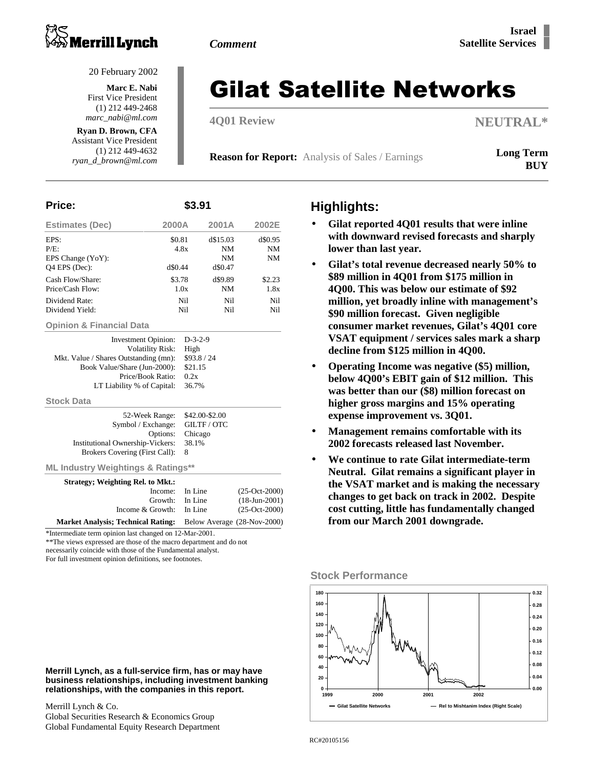

20 February 2002

**Marc E. Nabi** First Vice President (1) 212 449-2468 *marc\_nabi@ml.com*

**Ryan D. Brown, CFA** Assistant Vice President (1) 212 449-4632 *ryan\_d\_brown@ml.com* *Comment*

# **Gilat Satellite Networks**

**4Q01 Review NEUTRAL\***

**Reason for Report:** Analysis of Sales / Earnings **Long Term**<br>BUY

**Long Term**

| Price:                                                                                                                                                                                                                                                   | \$3.91                    |                                                                                                          |                     |                                                                                      |
|----------------------------------------------------------------------------------------------------------------------------------------------------------------------------------------------------------------------------------------------------------|---------------------------|----------------------------------------------------------------------------------------------------------|---------------------|--------------------------------------------------------------------------------------|
| <b>Estimates (Dec)</b>                                                                                                                                                                                                                                   | 2000A                     | 2001A                                                                                                    |                     | 2002E                                                                                |
| EPS:<br>$P/E$ :<br>EPS Change (YoY):<br>O4 EPS (Dec):                                                                                                                                                                                                    | \$0.81<br>4.8x<br>d\$0.44 | d\$15.03                                                                                                 | NM<br>NM<br>d\$0.47 | d\$0.95<br>NM<br>NΜ                                                                  |
| Cash Flow/Share:<br>Price/Cash Flow:                                                                                                                                                                                                                     | \$3.78<br>1.0x            |                                                                                                          | d\$9.89<br>NM       | \$2.23<br>1.8x                                                                       |
| Dividend Rate:<br>Dividend Yield:                                                                                                                                                                                                                        | Nil<br>Nil                |                                                                                                          | Nil<br>Ni1          | Ni1<br>Ni1                                                                           |
| <b>Opinion &amp; Financial Data</b>                                                                                                                                                                                                                      |                           |                                                                                                          |                     |                                                                                      |
| <b>Investment Opinion:</b><br><b>Volatility Risk:</b><br>Mkt. Value / Shares Outstanding (mn):<br>Book Value/Share (Jun-2000):<br>Price/Book Ratio:<br>LT Liability % of Capital:<br><b>Stock Data</b><br>52-Week Range:<br>Symbol / Exchange:           | Options:                  | $D-3-2-9$<br>High<br>\$93.8 / 24<br>\$21.15<br>0.2x<br>36.7%<br>\$42.00-\$2.00<br>GILTF / OTC<br>Chicago |                     |                                                                                      |
| <b>Institutional Ownership-Vickers:</b><br>Brokers Covering (First Call):                                                                                                                                                                                |                           | 38.1%<br>8                                                                                               |                     |                                                                                      |
| <b>ML Industry Weightings &amp; Ratings**</b>                                                                                                                                                                                                            |                           |                                                                                                          |                     |                                                                                      |
| <b>Strategy; Weighting Rel. to Mkt.:</b><br>Income & Growth:<br><b>Market Analysis; Technical Rating:</b>                                                                                                                                                | Income:<br>Growth:        | In Line<br>In Line<br>In Line                                                                            |                     | $(25-Oct-2000)$<br>$(18-Jun-2001)$<br>$(25-Oct-2000)$<br>Below Average (28-Nov-2000) |
| *Intermediate term opinion last changed on 12-Mar-2001.<br>** The views expressed are those of the macro department and do not<br>necessarily coincide with those of the Fundamental analyst.<br>For full investment opinion definitions, see footnotes. |                           |                                                                                                          |                     |                                                                                      |

#### **Merrill Lynch, as a full-service firm, has or may have business relationships, including investment banking relationships, with the companies in this report.**

Merrill Lynch & Co. Global Securities Research & Economics Group Global Fundamental Equity Research Department

# **Highlights:**

- **Gilat reported 4Q01 results that were inline with downward revised forecasts and sharply lower than last year.**
- **Gilat's total revenue decreased nearly 50% to \$89 million in 4Q01 from \$175 million in 4Q00. This was below our estimate of \$92 million, yet broadly inline with management's \$90 million forecast. Given negligible consumer market revenues, Gilat's 4Q01 core VSAT equipment / services sales mark a sharp decline from \$125 million in 4Q00.**
- **Operating Income was negative (\$5) million, below 4Q00's EBIT gain of \$12 million. This was better than our (\$8) million forecast on higher gross margins and 15% operating expense improvement vs. 3Q01.**
- **Management remains comfortable with its 2002 forecasts released last November.**
- **We continue to rate Gilat intermediate-term Neutral. Gilat remains a significant player in the VSAT market and is making the necessary changes to get back on track in 2002. Despite cost cutting, little has fundamentally changed from our March 2001 downgrade.**

# **Stock Performance**

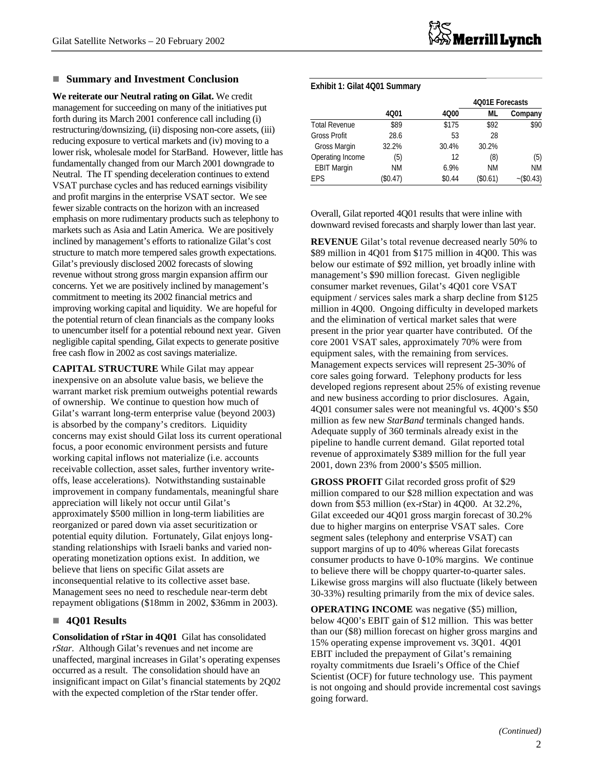# **Summary and Investment Conclusion**

**We reiterate our Neutral rating on Gilat.** We credit management for succeeding on many of the initiatives put forth during its March 2001 conference call including (i) restructuring/downsizing, (ii) disposing non-core assets, (iii) reducing exposure to vertical markets and (iv) moving to a lower risk, wholesale model for StarBand. However, little has fundamentally changed from our March 2001 downgrade to Neutral. The IT spending deceleration continues to extend VSAT purchase cycles and has reduced earnings visibility and profit margins in the enterprise VSAT sector. We see fewer sizable contracts on the horizon with an increased emphasis on more rudimentary products such as telephony to markets such as Asia and Latin America. We are positively inclined by management's efforts to rationalize Gilat's cost structure to match more tempered sales growth expectations. Gilat's previously disclosed 2002 forecasts of slowing revenue without strong gross margin expansion affirm our concerns. Yet we are positively inclined by management's commitment to meeting its 2002 financial metrics and improving working capital and liquidity. We are hopeful for the potential return of clean financials as the company looks to unencumber itself for a potential rebound next year. Given negligible capital spending, Gilat expects to generate positive free cash flow in 2002 as cost savings materialize.

**CAPITAL STRUCTURE** While Gilat may appear inexpensive on an absolute value basis, we believe the warrant market risk premium outweighs potential rewards of ownership. We continue to question how much of Gilat's warrant long-term enterprise value (beyond 2003) is absorbed by the company's creditors. Liquidity concerns may exist should Gilat loss its current operational focus, a poor economic environment persists and future working capital inflows not materialize (i.e. accounts receivable collection, asset sales, further inventory writeoffs, lease accelerations). Notwithstanding sustainable improvement in company fundamentals, meaningful share appreciation will likely not occur until Gilat's approximately \$500 million in long-term liabilities are reorganized or pared down via asset securitization or potential equity dilution. Fortunately, Gilat enjoys longstanding relationships with Israeli banks and varied nonoperating monetization options exist. In addition, we believe that liens on specific Gilat assets are inconsequential relative to its collective asset base. Management sees no need to reschedule near-term debt repayment obligations (\$18mm in 2002, \$36mm in 2003).

#### **4Q01 Results**

**Consolidation of rStar in 4Q01** Gilat has consolidated *rStar*. Although Gilat's revenues and net income are unaffected, marginal increases in Gilat's operating expenses occurred as a result. The consolidation should have an insignificant impact on Gilat's financial statements by 2Q02 with the expected completion of the rStar tender offer.

### **Exhibit 1: Gilat 4Q01 Summary**

|                      |        |        | 4001E Forecasts |             |
|----------------------|--------|--------|-----------------|-------------|
|                      | 4001   | 4Q00   | ML              | Company     |
| <b>Total Revenue</b> | \$89   | \$175  | \$92            | \$90        |
| <b>Gross Profit</b>  | 28.6   | 53     | 28              |             |
| <b>Gross Margin</b>  | 32.2%  | 30.4%  | 30.2%           |             |
| Operating Income     | (5)    | 12     | (8)             | (5)         |
| <b>EBIT Margin</b>   | ΝM     | 6.9%   | ΝM              | ΝM          |
| <b>EPS</b>           | \$0.47 | \$0.44 | (\$0.61)        | $-(\$0.43)$ |

Overall, Gilat reported 4Q01 results that were inline with downward revised forecasts and sharply lower than last year.

**REVENUE** Gilat's total revenue decreased nearly 50% to \$89 million in 4Q01 from \$175 million in 4Q00. This was below our estimate of \$92 million, yet broadly inline with management's \$90 million forecast. Given negligible consumer market revenues, Gilat's 4Q01 core VSAT equipment / services sales mark a sharp decline from \$125 million in 4Q00. Ongoing difficulty in developed markets and the elimination of vertical market sales that were present in the prior year quarter have contributed. Of the core 2001 VSAT sales, approximately 70% were from equipment sales, with the remaining from services. Management expects services will represent 25-30% of core sales going forward. Telephony products for less developed regions represent about 25% of existing revenue and new business according to prior disclosures. Again, 4Q01 consumer sales were not meaningful vs. 4Q00's \$50 million as few new *StarBand* terminals changed hands. Adequate supply of 360 terminals already exist in the pipeline to handle current demand. Gilat reported total revenue of approximately \$389 million for the full year 2001, down 23% from 2000's \$505 million.

**GROSS PROFIT** Gilat recorded gross profit of \$29 million compared to our \$28 million expectation and was down from \$53 million (ex-rStar) in 4Q00. At 32.2%, Gilat exceeded our 4Q01 gross margin forecast of 30.2% due to higher margins on enterprise VSAT sales. Core segment sales (telephony and enterprise VSAT) can support margins of up to 40% whereas Gilat forecasts consumer products to have 0-10% margins. We continue to believe there will be choppy quarter-to-quarter sales. Likewise gross margins will also fluctuate (likely between 30-33%) resulting primarily from the mix of device sales.

**OPERATING INCOME** was negative (\$5) million, below 4Q00's EBIT gain of \$12 million. This was better than our (\$8) million forecast on higher gross margins and 15% operating expense improvement vs. 3Q01. 4Q01 EBIT included the prepayment of Gilat's remaining royalty commitments due Israeli's Office of the Chief Scientist (OCF) for future technology use. This payment is not ongoing and should provide incremental cost savings going forward.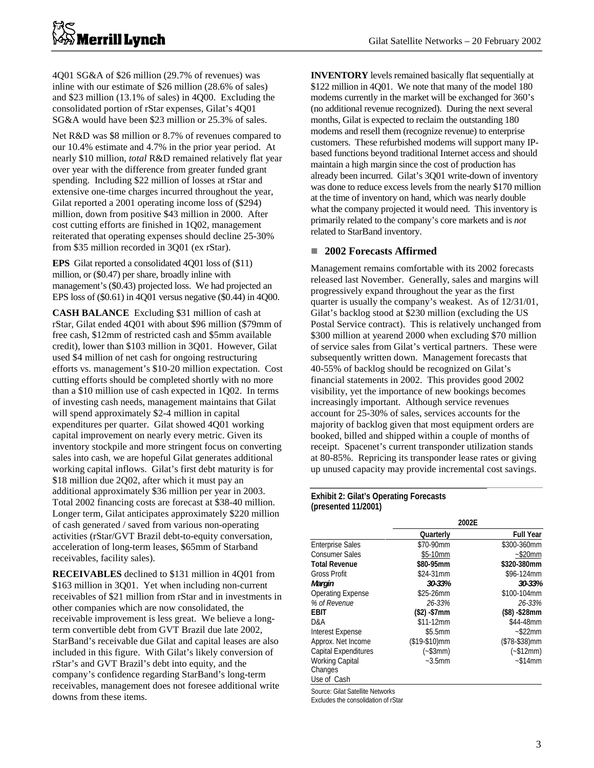4Q01 SG&A of \$26 million (29.7% of revenues) was inline with our estimate of \$26 million (28.6% of sales) and \$23 million (13.1% of sales) in 4Q00. Excluding the consolidated portion of rStar expenses, Gilat's 4Q01 SG&A would have been \$23 million or 25.3% of sales.

Net R&D was \$8 million or 8.7% of revenues compared to our 10.4% estimate and 4.7% in the prior year period. At nearly \$10 million, *total* R&D remained relatively flat year over year with the difference from greater funded grant spending. Including \$22 million of losses at rStar and extensive one-time charges incurred throughout the year, Gilat reported a 2001 operating income loss of (\$294) million, down from positive \$43 million in 2000. After cost cutting efforts are finished in 1Q02, management reiterated that operating expenses should decline 25-30% from \$35 million recorded in 3Q01 (ex rStar).

**EPS** Gilat reported a consolidated 4Q01 loss of (\$11) million, or (\$0.47) per share, broadly inline with management's (\$0.43) projected loss. We had projected an EPS loss of (\$0.61) in 4Q01 versus negative (\$0.44) in 4Q00.

**CASH BALANCE** Excluding \$31 million of cash at rStar, Gilat ended 4Q01 with about \$96 million (\$79mm of free cash, \$12mm of restricted cash and \$5mm available credit), lower than \$103 million in 3Q01. However, Gilat used \$4 million of net cash for ongoing restructuring efforts vs. management's \$10-20 million expectation. Cost cutting efforts should be completed shortly with no more than a \$10 million use of cash expected in 1Q02. In terms of investing cash needs, management maintains that Gilat will spend approximately \$2-4 million in capital expenditures per quarter. Gilat showed 4Q01 working capital improvement on nearly every metric. Given its inventory stockpile and more stringent focus on converting sales into cash, we are hopeful Gilat generates additional working capital inflows. Gilat's first debt maturity is for \$18 million due 2Q02, after which it must pay an additional approximately \$36 million per year in 2003. Total 2002 financing costs are forecast at \$38-40 million. Longer term, Gilat anticipates approximately \$220 million of cash generated / saved from various non-operating activities (rStar/GVT Brazil debt-to-equity conversation, acceleration of long-term leases, \$65mm of Starband receivables, facility sales).

**RECEIVABLES** declined to \$131 million in 4Q01 from \$163 million in 3001. Yet when including non-current receivables of \$21 million from rStar and in investments in other companies which are now consolidated, the receivable improvement is less great. We believe a longterm convertible debt from GVT Brazil due late 2002, StarBand's receivable due Gilat and capital leases are also included in this figure. With Gilat's likely conversion of rStar's and GVT Brazil's debt into equity, and the company's confidence regarding StarBand's long-term receivables, management does not foresee additional write downs from these items.

**INVENTORY** levels remained basically flat sequentially at \$122 million in 4Q01. We note that many of the model 180 modems currently in the market will be exchanged for 360's (no additional revenue recognized). During the next several months, Gilat is expected to reclaim the outstanding 180 modems and resell them (recognize revenue) to enterprise customers. These refurbished modems will support many IPbased functions beyond traditional Internet access and should maintain a high margin since the cost of production has already been incurred. Gilat's 3Q01 write-down of inventory was done to reduce excess levels from the nearly \$170 million at the time of inventory on hand, which was nearly double what the company projected it would need. This inventory is primarily related to the company's core markets and is *not* related to StarBand inventory.

# **2002 Forecasts Affirmed**

Management remains comfortable with its 2002 forecasts released last November. Generally, sales and margins will progressively expand throughout the year as the first quarter is usually the company's weakest. As of 12/31/01, Gilat's backlog stood at \$230 million (excluding the US Postal Service contract). This is relatively unchanged from \$300 million at yearend 2000 when excluding \$70 million of service sales from Gilat's vertical partners. These were subsequently written down. Management forecasts that 40-55% of backlog should be recognized on Gilat's financial statements in 2002. This provides good 2002 visibility, yet the importance of new bookings becomes increasingly important. Although service revenues account for 25-30% of sales, services accounts for the majority of backlog given that most equipment orders are booked, billed and shipped within a couple of months of receipt. Spacenet's current transponder utilization stands at 80-85%. Repricing its transponder lease rates or giving up unused capacity may provide incremental cost savings.

#### **Exhibit 2: Gilat's Operating Forecasts (presented 11/2001)**

|                             | 2002E         |                  |
|-----------------------------|---------------|------------------|
|                             | Quarterly     | <b>Full Year</b> |
| <b>Enterprise Sales</b>     | \$70-90mm     | \$300-360mm      |
| <b>Consumer Sales</b>       | \$5-10mm      | $~520$ mm        |
| <b>Total Revenue</b>        | \$80-95mm     | \$320-380mm      |
| <b>Gross Profit</b>         | \$24-31mm     | \$96-124mm       |
| Margin                      | 30-33%        | 30-33%           |
| <b>Operating Expense</b>    | \$25-26mm     | \$100-104mm      |
| % of Revenue                | 26-33%        | 26-33%           |
| EBIT                        | $($2) - $7mm$ | $($8) - $28mm$   |
| D&A                         | \$11-12mm     | \$44-48mm        |
| <b>Interest Expense</b>     | \$5.5mm       | $\sim$ \$22mm    |
| Approx. Net Income          | $($19-$10)mm$ | $($78-$38)mm$    |
| <b>Capital Expenditures</b> | $(-$3mm)$     | $(-$12mm)$       |
| <b>Working Capital</b>      | $-3.5$ mm     | $~514$ mm        |
| Changes                     |               |                  |
| Use of Cash                 |               |                  |

Source: Gilat Satellite Networks

Excludes the consolidation of rStar